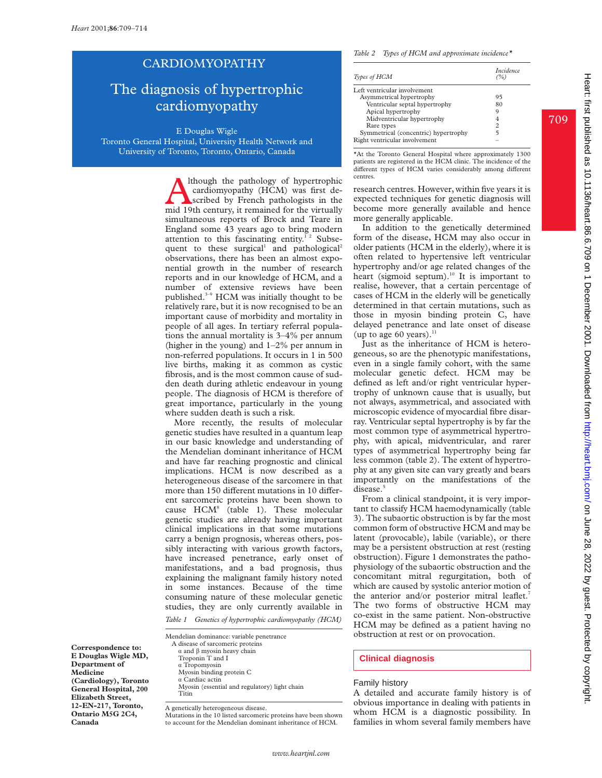# CARDIOMYOPATHY

# The diagnosis of hypertrophic cardiomyopathy

E Douglas Wigle Toronto General Hospital, University Health Network and University of Toronto, Toronto, Ontario, Canada

> Although the pathology of hypertrophic<br>cardiomyopathy (HCM) was first de-<br>scribed by French pathologists in the<br>mid 19th century, it remained for the virtually cardiomyopathy (HCM) was first demid 19th century, it remained for the virtually simultaneous reports of Brock and Teare in England some 43 years ago to bring modern attention to this fascinating entity.<sup>12</sup> Subsequent to these surgical<sup>1</sup> and pathological<sup>2</sup> observations, there has been an almost exponential growth in the number of research reports and in our knowledge of HCM, and a number of extensive reviews have been published.3–9 HCM was initially thought to be relatively rare, but it is now recognised to be an important cause of morbidity and mortality in people of all ages. In tertiary referral populations the annual mortality is 3–4% per annum (higher in the young) and 1–2% per annum in non-referred populations. It occurs in 1 in 500 live births, making it as common as cystic fibrosis, and is the most common cause of sudden death during athletic endeavour in young people. The diagnosis of HCM is therefore of great importance, particularly in the young where sudden death is such a risk.

> More recently, the results of molecular genetic studies have resulted in a quantum leap in our basic knowledge and understanding of the Mendelian dominant inheritance of HCM and have far reaching prognostic and clinical implications. HCM is now described as a heterogeneous disease of the sarcomere in that more than 150 different mutations in 10 different sarcomeric proteins have been shown to cause  $HCM<sup>8</sup>$  (table 1). These molecular genetic studies are already having important clinical implications in that some mutations carry a benign prognosis, whereas others, possibly interacting with various growth factors, have increased penetrance, early onset of manifestations, and a bad prognosis, thus explaining the malignant family history noted in some instances. Because of the time consuming nature of these molecular genetic studies, they are only currently available in

*Table 1 Genetics of hypertrophic cardiomyopathy (HCM)*

Mendelian dominance: variable penetrance A disease of sarcomeric proteins  $\alpha$  and  $\beta$  myosin heavy chain Troponin T and I á Tropomyosin Myosin binding protein C  $\alpha$  Cardiac actin Myosin (essential and regulatory) light chain **Titin** 

A genetically heterogeneous disease.

Mutations in the 10 listed sarcomeric proteins have been shown to account for the Mendelian dominant inheritance of HCM.

#### *Table 2 Types of HCM and approximate incidence\**

| Types of HCM                         | Incidence<br>(%) |
|--------------------------------------|------------------|
| Left ventricular involvement         |                  |
| Asymmetrical hypertrophy             | 95               |
| Ventricular septal hypertrophy       | 80               |
| Apical hypertrophy                   | 9                |
| Midventricular hypertrophy           | 4                |
| Rare types                           | $\mathfrak{D}$   |
| Symmetrical (concentric) hypertrophy | 5                |
| Right ventricular involvement        |                  |

\*At the Toronto General Hospital where approximately 1300 patients are registered in the HCM clinic. The incidence of the different types of HCM varies considerably among different centres.

research centres. However, within five years it is expected techniques for genetic diagnosis will become more generally available and hence more generally applicable.

In addition to the genetically determined form of the disease, HCM may also occur in older patients (HCM in the elderly), where it is often related to hypertensive left ventricular hypertrophy and/or age related changes of the heart (sigmoid septum).<sup>10</sup> It is important to realise, however, that a certain percentage of cases of HCM in the elderly will be genetically determined in that certain mutations, such as those in myosin binding protein C, have delayed penetrance and late onset of disease (up to age 60 years). $^{11}$ 

Just as the inheritance of HCM is heterogeneous, so are the phenotypic manifestations, even in a single family cohort, with the same molecular genetic defect. HCM may be defined as left and/or right ventricular hypertrophy of unknown cause that is usually, but not always, asymmetrical, and associated with microscopic evidence of myocardial fibre disarray. Ventricular septal hypertrophy is by far the most common type of asymmetrical hypertrophy, with apical, midventricular, and rarer types of asymmetrical hypertrophy being far less common (table 2). The extent of hypertrophy at any given site can vary greatly and bears importantly on the manifestations of the disease.<sup>5</sup>

From a clinical standpoint, it is very important to classify HCM haemodynamically (table 3). The subaortic obstruction is by far the most common form of obstructive HCM and may be latent (provocable), labile (variable), or there may be a persistent obstruction at rest (resting obstruction). Figure 1 demonstrates the pathophysiology of the subaortic obstruction and the concomitant mitral regurgitation, both of which are caused by systolic anterior motion of the anterior and/or posterior mitral leaflet.<sup>7</sup> The two forms of obstructive HCM may co-exist in the same patient. Non-obstructive HCM may be defined as a patient having no obstruction at rest or on provocation.

# **Clinical diagnosis**

## Family history

A detailed and accurate family history is of obvious importance in dealing with patients in whom HCM is a diagnostic possibility. In families in whom several family members have

709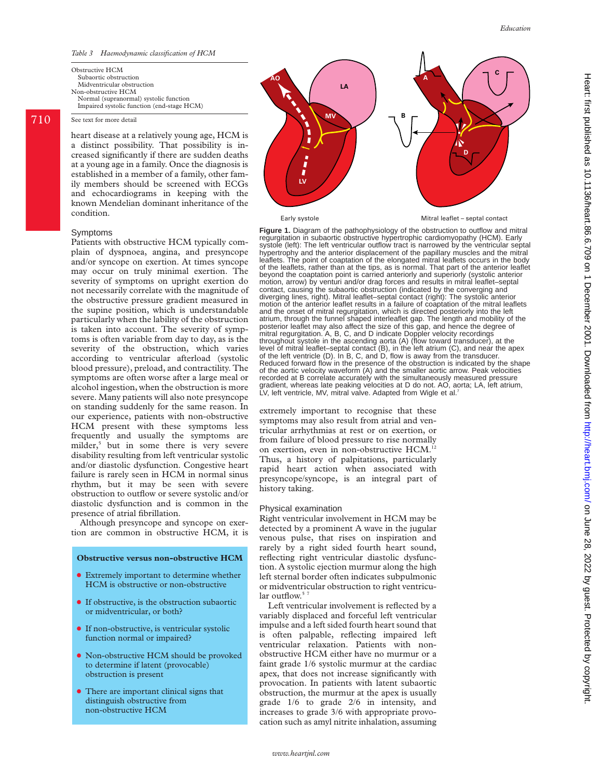Obstructive HCM Subaortic obstruction Midventricular obstruction Non-obstructive HCM Normal (supranormal) systolic function Impaired systolic function (end-stage HCM)

See text for more detail

710

heart disease at a relatively young age, HCM is a distinct possibility. That possibility is increased significantly if there are sudden deaths at a young age in a family. Once the diagnosis is established in a member of a family, other family members should be screened with ECGs and echocardiograms in keeping with the known Mendelian dominant inheritance of the condition.

## Symptoms

Patients with obstructive HCM typically complain of dyspnoea, angina, and presyncope and/or syncope on exertion. At times syncope may occur on truly minimal exertion. The severity of symptoms on upright exertion do not necessarily correlate with the magnitude of the obstructive pressure gradient measured in the supine position, which is understandable particularly when the lability of the obstruction is taken into account. The severity of symptoms is often variable from day to day, as is the severity of the obstruction, which varies according to ventricular afterload (systolic blood pressure), preload, and contractility. The symptoms are often worse after a large meal or alcohol ingestion, when the obstruction is more severe. Many patients will also note presyncope on standing suddenly for the same reason. In our experience, patients with non-obstructive HCM present with these symptoms less frequently and usually the symptoms are milder,<sup>5</sup> but in some there is very severe disability resulting from left ventricular systolic and/or diastolic dysfunction. Congestive heart failure is rarely seen in HCM in normal sinus rhythm, but it may be seen with severe obstruction to outflow or severe systolic and/or diastolic dysfunction and is common in the presence of atrial fibrillation.

Although presyncope and syncope on exertion are common in obstructive HCM, it is

#### **Obstructive versus non-obstructive HCM**

- Extremely important to determine whether HCM is obstructive or non-obstructive
- **•** If obstructive, is the obstruction subaortic or midventricular, or both?
- $\bullet$  If non-obstructive, is ventricular systolic function normal or impaired?
- Non-obstructive HCM should be provoked to determine if latent (provocable) obstruction is present
- There are important clinical signs that distinguish obstructive from non-obstructive HCM



Early systole **Mitral leaflet** – septal contact

Figure 1. Diagram of the pathophysiology of the obstruction to outflow and mitral regurgitation in subaortic obstructive hypertrophic cardiomyopathy (HCM). Early systole (left): The left ventricular outflow tract is narrowed by the ventricular septal hypertrophy and the anterior displacement of the papillary muscles and the mitral leaflets. The point of coaptation of the elongated mitral leaflets occurs in the body of the leaflets, rather than at the tips, as is normal. That part of the anterior leaflet beyond the coaptation point is carried anteriorly and superiorly (systolic anterior motion, arrow) by venturi and/or drag forces and results in mitral leaflet–septal contact, causing the subaortic obstruction (indicated by the converging and diverging lines, right). Mitral leaflet–septal contact (right): The systolic anterior motion of the anterior leaflet results in a failure of coaptation of the mitral leaflets and the onset of mitral regurgitation, which is directed posteriorly into the left atrium, through the funnel shaped interleaflet gap. The length and mobility of the posterior leaflet may also affect the size of this gap, and hence the degree of mitral regurgitation. A, B, C, and D indicate Doppler velocity recordings throughout systole in the ascending aorta (A) (flow toward transducer), at the level of mitral leaflet–septal contact (B), in the left atrium (C), and near the apex of the left ventricle (D). In B, C, and D, flow is away from the transducer. Reduced forward flow in the presence of the obstruction is indicated by the shape of the aortic velocity waveform (A) and the smaller aortic arrow. Peak velocities recorded at B correlate accurately with the simultaneously measured pressure gradient, whereas late peaking velocities at D do not. AO, aorta; LA, left atrium, LV, left ventricle, MV, mitral valve. Adapted from Wigle et al.

extremely important to recognise that these symptoms may also result from atrial and ventricular arrhythmias at rest or on exertion, or from failure of blood pressure to rise normally on exertion, even in non-obstructive HCM.<sup>12</sup> Thus, a history of palpitations, particularly rapid heart action when associated with presyncope/syncope, is an integral part of history taking.

#### Physical examination

Right ventricular involvement in HCM may be detected by a prominent A wave in the jugular venous pulse, that rises on inspiration and rarely by a right sided fourth heart sound, reflecting right ventricular diastolic dysfunction. A systolic ejection murmur along the high left sternal border often indicates subpulmonic or midventricular obstruction to right ventricular outflow.<sup>5</sup>

Left ventricular involvement is reflected by a variably displaced and forceful left ventricular impulse and a left sided fourth heart sound that is often palpable, reflecting impaired left ventricular relaxation. Patients with nonobstructive HCM either have no murmur or a faint grade 1/6 systolic murmur at the cardiac apex, that does not increase significantly with provocation. In patients with latent subaortic obstruction, the murmur at the apex is usually grade 1/6 to grade 2/6 in intensity, and increases to grade 3/6 with appropriate provocation such as amyl nitrite inhalation, assuming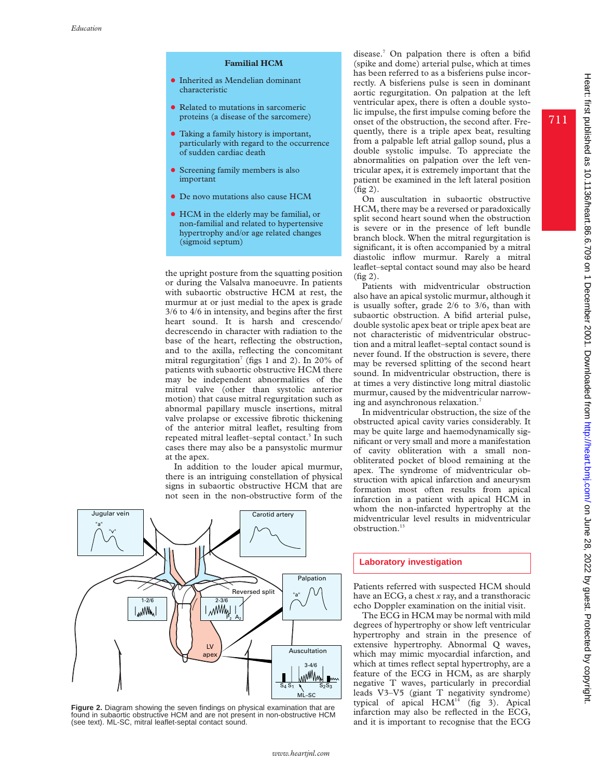# **Familial HCM**

- **Inherited as Mendelian dominant** characteristic
- Related to mutations in sarcomeric proteins (a disease of the sarcomere)
- Taking a family history is important, particularly with regard to the occurrence of sudden cardiac death
- Screening family members is also important
- $\bullet$  De novo mutations also cause HCM
- x HCM in the elderly may be familial, or non-familial and related to hypertensive hypertrophy and/or age related changes (sigmoid septum)

the upright posture from the squatting position or during the Valsalva manoeuvre. In patients with subaortic obstructive HCM at rest, the murmur at or just medial to the apex is grade 3/6 to 4/6 in intensity, and begins after the first heart sound. It is harsh and crescendo/ decrescendo in character with radiation to the base of the heart, reflecting the obstruction, and to the axilla, reflecting the concomitant mitral regurgitation<sup>7</sup> (figs 1 and 2). In 20% of patients with subaortic obstructive HCM there may be independent abnormalities of the mitral valve (other than systolic anterior motion) that cause mitral regurgitation such as abnormal papillary muscle insertions, mitral valve prolapse or excessive fibrotic thickening of the anterior mitral leaflet, resulting from repeated mitral leaflet–septal contact.<sup>5</sup> In such cases there may also be a pansystolic murmur at the apex.

In addition to the louder apical murmur, there is an intriguing constellation of physical signs in subaortic obstructive HCM that are not seen in the non-obstructive form of the



**Figure 2.** Diagram showing the seven findings on physical examination that are found in subaortic obstructive HCM and are not present in non-obstructive HCM (see text). ML-SC, mitral leaflet-septal contact sound.

disease.7 On palpation there is often a bifid (spike and dome) arterial pulse, which at times has been referred to as a bisferiens pulse incorrectly. A bisferiens pulse is seen in dominant aortic regurgitation. On palpation at the left ventricular apex, there is often a double systolic impulse, the first impulse coming before the onset of the obstruction, the second after. Frequently, there is a triple apex beat, resulting from a palpable left atrial gallop sound, plus a double systolic impulse. To appreciate the abnormalities on palpation over the left ventricular apex, it is extremely important that the patient be examined in the left lateral position (fig 2).

On auscultation in subaortic obstructive HCM, there may be a reversed or paradoxically split second heart sound when the obstruction is severe or in the presence of left bundle branch block. When the mitral regurgitation is significant, it is often accompanied by a mitral diastolic inflow murmur. Rarely a mitral leaflet–septal contact sound may also be heard (fig 2).

Patients with midventricular obstruction also have an apical systolic murmur, although it is usually softer, grade 2/6 to 3/6, than with subaortic obstruction. A bifid arterial pulse, double systolic apex beat or triple apex beat are not characteristic of midventricular obstruction and a mitral leaflet–septal contact sound is never found. If the obstruction is severe, there may be reversed splitting of the second heart sound. In midventricular obstruction, there is at times a very distinctive long mitral diastolic murmur, caused by the midventricular narrowing and asynchronous relaxation.<sup>7</sup>

In midventricular obstruction, the size of the obstructed apical cavity varies considerably. It may be quite large and haemodynamically significant or very small and more a manifestation of cavity obliteration with a small nonobliterated pocket of blood remaining at the apex. The syndrome of midventricular obstruction with apical infarction and aneurysm formation most often results from apical infarction in a patient with apical HCM in whom the non-infarcted hypertrophy at the midventricular level results in midventricular obstruction.<sup>13</sup>

# **Laboratory investigation**

Patients referred with suspected HCM should have an ECG, a chest *x* ray, and a transthoracic echo Doppler examination on the initial visit.

The ECG in HCM may be normal with mild degrees of hypertrophy or show left ventricular hypertrophy and strain in the presence of extensive hypertrophy. Abnormal Q waves, which may mimic myocardial infarction, and which at times reflect septal hypertrophy, are a feature of the ECG in HCM, as are sharply negative T waves, particularly in precordial leads V3–V5 (giant T negativity syndrome) typical of apical  $HCM$ <sup>14</sup> (fig 3). Apical infarction may also be reflected in the ECG, and it is important to recognise that the ECG

711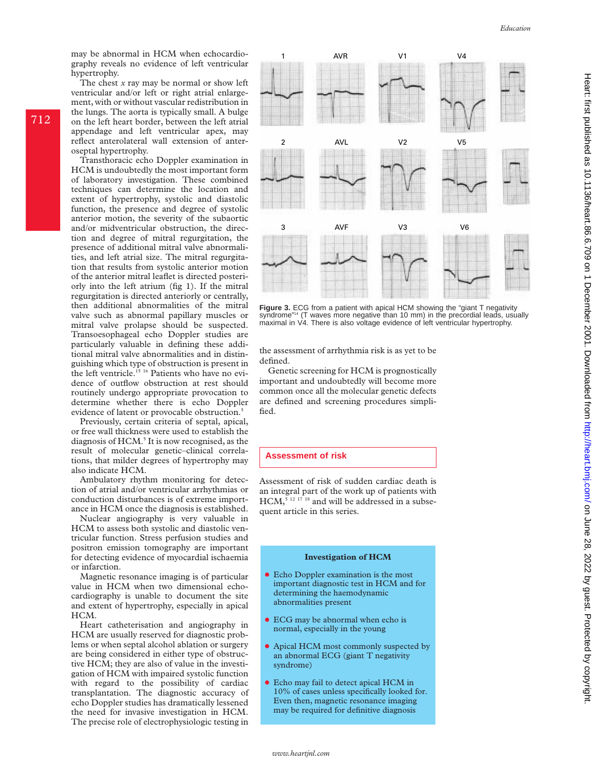may be abnormal in HCM when echocardiography reveals no evidence of left ventricular hypertrophy.

The chest *x* ray may be normal or show left ventricular and/or left or right atrial enlargement, with or without vascular redistribution in the lungs. The aorta is typically small. A bulge on the left heart border, between the left atrial appendage and left ventricular apex, may reflect anterolateral wall extension of anteroseptal hypertrophy.

Transthoracic echo Doppler examination in HCM is undoubtedly the most important form of laboratory investigation. These combined techniques can determine the location and extent of hypertrophy, systolic and diastolic function, the presence and degree of systolic anterior motion, the severity of the subaortic and/or midventricular obstruction, the direction and degree of mitral regurgitation, the presence of additional mitral valve abnormalities, and left atrial size. The mitral regurgitation that results from systolic anterior motion of the anterior mitral leaflet is directed posteriorly into the left atrium (fig 1). If the mitral regurgitation is directed anteriorly or centrally, then additional abnormalities of the mitral valve such as abnormal papillary muscles or mitral valve prolapse should be suspected. Transoesophageal echo Doppler studies are particularly valuable in defining these additional mitral valve abnormalities and in distinguishing which type of obstruction is present in the left ventricle.15 16 Patients who have no evidence of outflow obstruction at rest should routinely undergo appropriate provocation to determine whether there is echo Doppler evidence of latent or provocable obstruction.<sup>5</sup>

Previously, certain criteria of septal, apical, or free wall thickness were used to establish the diagnosis of  $HCM<sup>5</sup>$  It is now recognised, as the result of molecular genetic–clinical correlations, that milder degrees of hypertrophy may also indicate HCM.

Ambulatory rhythm monitoring for detection of atrial and/or ventricular arrhythmias or conduction disturbances is of extreme importance in HCM once the diagnosis is established.

Nuclear angiography is very valuable in HCM to assess both systolic and diastolic ventricular function. Stress perfusion studies and positron emission tomography are important for detecting evidence of myocardial ischaemia or infarction.

Magnetic resonance imaging is of particular value in HCM when two dimensional echocardiography is unable to document the site and extent of hypertrophy, especially in apical HCM.

Heart catheterisation and angiography in HCM are usually reserved for diagnostic problems or when septal alcohol ablation or surgery are being considered in either type of obstructive HCM; they are also of value in the investigation of HCM with impaired systolic function with regard to the possibility of cardiac transplantation. The diagnostic accuracy of echo Doppler studies has dramatically lessened the need for invasive investigation in HCM. The precise role of electrophysiologic testing in



**Figure 3.** ECG from a patient with apical HCM showing the "giant T negativity syndrome<sup>"14</sup> (T waves more negative than 10 mm) in the precordial leads, usually maximal in V4. There is also voltage evidence of left ventricular hypertrophy.

the assessment of arrhythmia risk is as yet to be defined.

Genetic screening for HCM is prognostically important and undoubtedly will become more common once all the molecular genetic defects are defined and screening procedures simplified.

# **Assessment of risk**

Assessment of risk of sudden cardiac death is an integral part of the work up of patients with HCM,<sup>5 12 17 18</sup> and will be addressed in a subsequent article in this series.

# **Investigation of HCM**

- Echo Doppler examination is the most important diagnostic test in HCM and for determining the haemodynamic abnormalities present
- ECG may be abnormal when echo is normal, especially in the young
- Apical HCM most commonly suspected by an abnormal ECG (giant T negativity syndrome)
- Echo may fail to detect apical HCM in 10% of cases unless specifically looked for. Even then, magnetic resonance imaging may be required for definitive diagnosis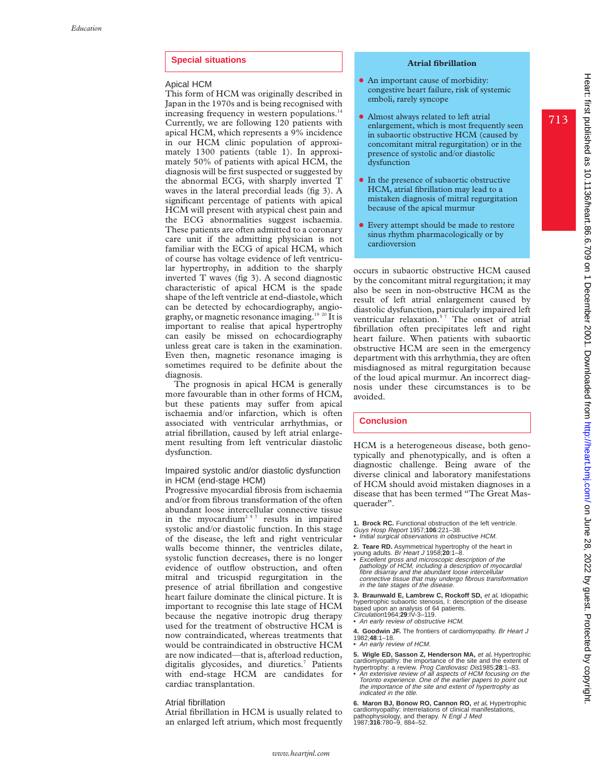# **Special situations**

# Apical HCM

This form of HCM was originally described in Japan in the 1970s and is being recognised with increasing frequency in western populations.<sup>14</sup> Currently, we are following 120 patients with apical HCM, which represents a 9% incidence in our HCM clinic population of approximately 1300 patients (table 1). In approximately 50% of patients with apical HCM, the diagnosis will be first suspected or suggested by the abnormal ECG, with sharply inverted T waves in the lateral precordial leads (fig 3). A significant percentage of patients with apical HCM will present with atypical chest pain and the ECG abnormalities suggest ischaemia. These patients are often admitted to a coronary care unit if the admitting physician is not familiar with the ECG of apical HCM, which of course has voltage evidence of left ventricular hypertrophy, in addition to the sharply inverted T waves (fig 3). A second diagnostic characteristic of apical HCM is the spade shape of the left ventricle at end-diastole, which can be detected by echocardiography, angiography, or magnetic resonance imaging.19 20 It is important to realise that apical hypertrophy can easily be missed on echocardiography unless great care is taken in the examination. Even then, magnetic resonance imaging is sometimes required to be definite about the diagnosis.

The prognosis in apical HCM is generally more favourable than in other forms of HCM, but these patients may suffer from apical ischaemia and/or infarction, which is often associated with ventricular arrhythmias, or atrial fibrillation, caused by left atrial enlargement resulting from left ventricular diastolic dysfunction.

# Impaired systolic and/or diastolic dysfunction in HCM (end-stage HCM)

Progressive myocardial fibrosis from ischaemia and/or from fibrous transformation of the often abundant loose intercellular connective tissue in the myocardium<sup>257</sup> results in impaired systolic and/or diastolic function. In this stage of the disease, the left and right ventricular walls become thinner, the ventricles dilate, systolic function decreases, there is no longer evidence of outflow obstruction, and often mitral and tricuspid regurgitation in the presence of atrial fibrillation and congestive heart failure dominate the clinical picture. It is important to recognise this late stage of HCM because the negative inotropic drug therapy used for the treatment of obstructive HCM is now contraindicated, whereas treatments that would be contraindicated in obstructive HCM are now indicated—that is, afterload reduction, digitalis glycosides, and diuretics. <sup>7</sup> Patients with end-stage HCM are candidates for cardiac transplantation.

## Atrial fibrillation

Atrial fibrillation in HCM is usually related to an enlarged left atrium, which most frequently

# **Atrial fibrillation**

- An important cause of morbidity: congestive heart failure, risk of systemic emboli, rarely syncope
- Almost always related to left atrial enlargement, which is most frequently seen in subaortic obstructive HCM (caused by concomitant mitral regurgitation) or in the presence of systolic and/or diastolic dysfunction
- In the presence of subaortic obstructive HCM, atrial fibrillation may lead to a mistaken diagnosis of mitral regurgitation because of the apical murmur
- Every attempt should be made to restore sinus rhythm pharmacologically or by cardioversion

occurs in subaortic obstructive HCM caused by the concomitant mitral regurgitation; it may also be seen in non-obstructive HCM as the result of left atrial enlargement caused by diastolic dysfunction, particularly impaired left ventricular relaxation.<sup>57</sup> The onset of atrial fibrillation often precipitates left and right heart failure. When patients with subaortic obstructive HCM are seen in the emergency department with this arrhythmia, they are often misdiagnosed as mitral regurgitation because of the loud apical murmur. An incorrect diagnosis under these circumstances is to be avoided.

# **Conclusion**

HCM is a heterogeneous disease, both genotypically and phenotypically, and is often a diagnostic challenge. Being aware of the diverse clinical and laboratory manifestations of HCM should avoid mistaken diagnoses in a disease that has been termed "The Great Masquerader".

**1. Brock RC.** Functional obstruction of the left ventricle. Guys Hosp Report 1957; **106**:221-38.

- Initial surgical observations in obstructive HCM.
- **2. Teare RD.** Asymmetrical hypertrophy of the heart in
- young adults. Br Heart J 1958;**20**:1–8.<br>• Excellent gross and microscopic description of the<br>pathology of HCM, including a description of myocardial<br>fibre disarray and the abundant loose intercellular connective tissue that may undergo fibrous transformation in the late stages of the disease

**3. Braunwald E, Lambrew C, Rockoff SD,** et al**.** Idiopathic hypertrophic subaortic stenosis, I: description of the disease based upon an analysis of 64 patients. Circulation1964;**29**:IV-3–119. **•** An early review of obstructive HCM.

- - 4. Goodwin JF. The frontiers of cardiomyopathy. Br Heart J 1982;48:1-18.
	- An early review of HCM.

**5. Wigle ED, Sasson Z, Henderson MA,** et al**.** Hypertrophic

cardiomyopathy: the importance of the site and the extent of<br>hypertrophy: a review. Prog Cardiovasc Dis1985;28:1-83.<br>• An extensive review of all aspects of HCM focusing on the<br>Toronto experience. One of the earlier papers the importance of the site and extent of hypertrophy as indicated in the title.

**6. Maron BJ, Bonow RO, Cannon RO,** et al**.** Hypertrophic cardiomyopathy: interrelations of clinical manifestations, pathophysiology, and therapy. <sup>N</sup> Engl J Med 1987;**316**:780–9, 884–52.

713